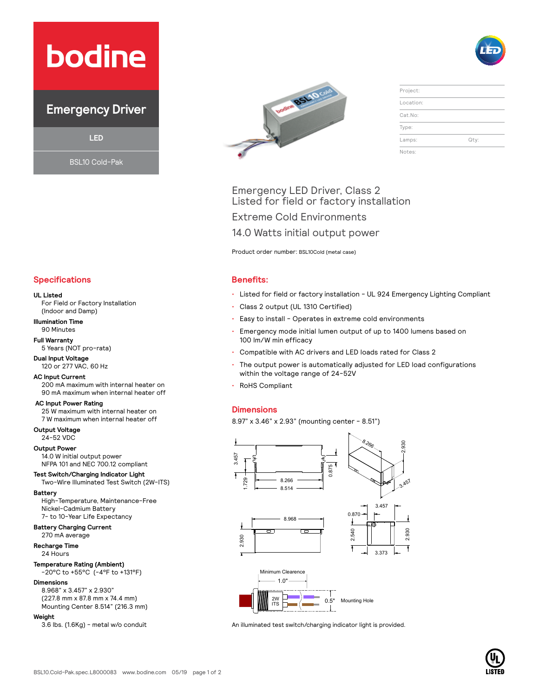# **bodine**

## **Emergency Driver**

**LED**

BSL10 Cold-Pak



| Project:  |      |
|-----------|------|
| Location: |      |
| Cat.No:   |      |
| Type:     |      |
| Lamps:    | Qty: |
| Notes:    |      |

### Emergency LED Driver, Class 2 Listed for field or factory installation

Extreme Cold Environments

14.0 Watts initial output power

Product order number: BSL10Cold (metal case)

- Listed for field or factory installation UL 924 Emergency Lighting Compliant
- Class 2 output (UL 1310 Certified)
- Easy to install Operates in extreme cold environments
- Emergency mode initial lumen output of up to 1400 lumens based on 100 lm/W min efficacy
- Compatible with AC drivers and LED loads rated for Class 2
- The output power is automatically adjusted for LED load configurations within the voltage range of 24-52V
- RoHS Compliant

#### **Dimensions**

8.97" x 3.46" x 2.93" (mounting center - 8.51")



An illuminated test switch/charging indicator light is provided.



#### **UL Listed**

For Field or Factory Installation (Indoor and Damp)

**Illumination Time** 90 Minutes

**Full Warranty** 5 Years (NOT pro-rata)

**Dual Input Voltage** 120 or 277 VAC, 60 Hz

#### **AC Input Current**

200 mA maximum with internal heater on 90 mA maximum when internal heater off

 **AC Input Power Rating** 25 W maximum with internal heater on 7 W maximum when internal heater off

**Output Voltage**

24-52 VDC

**Output Power** 14.0 W initial output power NFPA 101 and NEC 700.12 compliant

**Test Switch/Charging Indicator Light** Two-Wire Illuminated Test Switch (2W-ITS)

**Battery**

High-Temperature, Maintenance-Free Nickel-Cadmium Battery 7- to 10-Year Life Expectancy

### **Battery Charging Current**

270 mA average **Recharge Time**

24 Hours

### **Temperature Rating (Ambient)**

-20°C to +55°C (-4°F to +131°F)

#### **Dimensions**

8.968" x 3.457" x 2.930" (227.8 mm x 87.8 mm x 74.4 mm) Mounting Center 8.514" (216.3 mm)

#### **Weight**

3.6 lbs. (1.6Kg) - metal w/o conduit